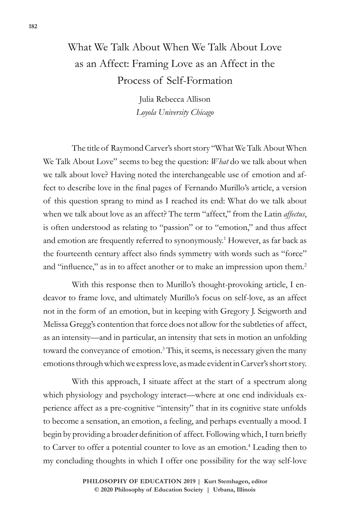## What We Talk About When We Talk About Love as an Affect: Framing Love as an Affect in the Process of Self-Formation

Julia Rebecca Allison *Loyola University Chicago*

The title of Raymond Carver's short story "What We Talk About When We Talk About Love" seems to beg the question: *What* do we talk about when we talk about love? Having noted the interchangeable use of emotion and affect to describe love in the final pages of Fernando Murillo's article, a version of this question sprang to mind as I reached its end: What do we talk about when we talk about love as an affect? The term "affect," from the Latin *affectus*, is often understood as relating to "passion" or to "emotion," and thus affect and emotion are frequently referred to synonymously.<sup>1</sup> However, as far back as the fourteenth century affect also finds symmetry with words such as "force" and "influence," as in to affect another or to make an impression upon them.<sup>2</sup>

With this response then to Murillo's thought-provoking article, I endeavor to frame love, and ultimately Murillo's focus on self-love, as an affect not in the form of an emotion, but in keeping with Gregory J. Seigworth and Melissa Gregg's contention that force does not allow for the subtleties of affect, as an intensity—and in particular, an intensity that sets in motion an unfolding toward the conveyance of emotion.<sup>3</sup> This, it seems, is necessary given the many emotions through which we express love, as made evident in Carver's short story.

With this approach, I situate affect at the start of a spectrum along which physiology and psychology interact—where at one end individuals experience affect as a pre-cognitive "intensity" that in its cognitive state unfolds to become a sensation, an emotion, a feeling, and perhaps eventually a mood. I begin by providing a broader definition of affect. Following which, I turn briefly to Carver to offer a potential counter to love as an emotion.<sup>4</sup> Leading then to my concluding thoughts in which I offer one possibility for the way self-love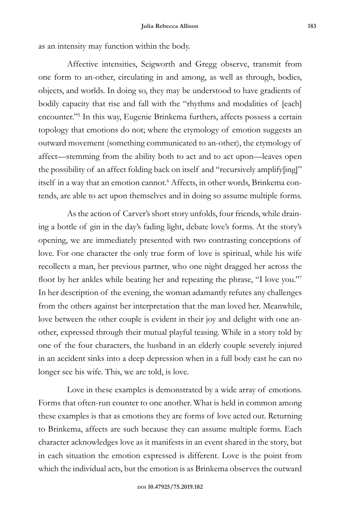as an intensity may function within the body.

Affective intensities, Seigworth and Gregg observe, transmit from one form to an-other, circulating in and among, as well as through, bodies, objects, and worlds. In doing so, they may be understood to have gradients of bodily capacity that rise and fall with the "rhythms and modalities of [each] encounter."5 In this way, Eugenie Brinkema furthers, affects possess a certain topology that emotions do not; where the etymology of emotion suggests an outward movement (something communicated to an-other), the etymology of affect—stemming from the ability both to act and to act upon—leaves open the possibility of an affect folding back on itself and "recursively amplify[ing]" itself in a way that an emotion cannot.<sup>6</sup> Affects, in other words, Brinkema contends, are able to act upon themselves and in doing so assume multiple forms.

As the action of Carver's short story unfolds, four friends, while draining a bottle of gin in the day's fading light, debate love's forms. At the story's opening, we are immediately presented with two contrasting conceptions of love. For one character the only true form of love is spiritual, while his wife recollects a man, her previous partner, who one night dragged her across the floor by her ankles while beating her and repeating the phrase, "I love you."<sup>7</sup> In her description of the evening, the woman adamantly refutes any challenges from the others against her interpretation that the man loved her. Meanwhile, love between the other couple is evident in their joy and delight with one another, expressed through their mutual playful teasing. While in a story told by one of the four characters, the husband in an elderly couple severely injured in an accident sinks into a deep depression when in a full body cast he can no longer see his wife. This, we are told, is love.

Love in these examples is demonstrated by a wide array of emotions. Forms that often-run counter to one another. What is held in common among these examples is that as emotions they are forms of love acted out. Returning to Brinkema, affects are such because they can assume multiple forms. Each character acknowledges love as it manifests in an event shared in the story, but in each situation the emotion expressed is different. Love is the point from which the individual acts, but the emotion is as Brinkema observes the outward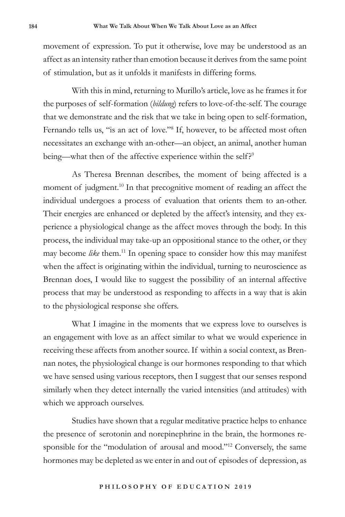movement of expression. To put it otherwise, love may be understood as an affect as an intensity rather than emotion because it derives from the same point of stimulation, but as it unfolds it manifests in differing forms.

With this in mind, returning to Murillo's article, love as he frames it for the purposes of self-formation (*bildung*) refers to love-of-the-self. The courage that we demonstrate and the risk that we take in being open to self-formation, Fernando tells us, "is an act of love."<sup>8</sup> If, however, to be affected most often necessitates an exchange with an-other—an object, an animal, another human being—what then of the affective experience within the self?<sup>9</sup>

As Theresa Brennan describes, the moment of being affected is a moment of judgment.<sup>10</sup> In that precognitive moment of reading an affect the individual undergoes a process of evaluation that orients them to an-other. Their energies are enhanced or depleted by the affect's intensity, and they experience a physiological change as the affect moves through the body. In this process, the individual may take-up an oppositional stance to the other, or they may become *like* them.<sup>11</sup> In opening space to consider how this may manifest when the affect is originating within the individual, turning to neuroscience as Brennan does, I would like to suggest the possibility of an internal affective process that may be understood as responding to affects in a way that is akin to the physiological response she offers.

What I imagine in the moments that we express love to ourselves is an engagement with love as an affect similar to what we would experience in receiving these affects from another source. If within a social context, as Brennan notes, the physiological change is our hormones responding to that which we have sensed using various receptors, then I suggest that our senses respond similarly when they detect internally the varied intensities (and attitudes) with which we approach ourselves.

Studies have shown that a regular meditative practice helps to enhance the presence of serotonin and norepinephrine in the brain, the hormones responsible for the "modulation of arousal and mood."<sup>12</sup> Conversely, the same hormones may be depleted as we enter in and out of episodes of depression, as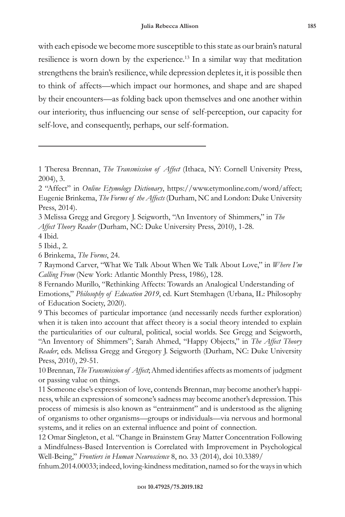with each episode we become more susceptible to this state as our brain's natural resilience is worn down by the experience.<sup>13</sup> In a similar way that meditation strengthens the brain's resilience, while depression depletes it, it is possible then to think of affects—which impact our hormones, and shape and are shaped by their encounters—as folding back upon themselves and one another within our interiority, thus influencing our sense of self-perception, our capacity for self-love, and consequently, perhaps, our self-formation.

<sup>1</sup> Theresa Brennan, *The Transmission of Affect* (Ithaca, NY: Cornell University Press, 2004), 3.

<sup>2 &</sup>quot;Affect" in *Online Etymology Dictionary*, https://www.etymonline.com/word/affect; Eugenie Brinkema, *The Forms of the Affects* (Durham, NC and London: Duke University Press, 2014).

<sup>3</sup> Melissa Gregg and Gregory J. Seigworth, "An Inventory of Shimmers," in *The Affect Theory Reader* (Durham, NC: Duke University Press, 2010), 1-28.

<sup>4</sup> Ibid.

<sup>5</sup> Ibid., 2.

<sup>6</sup> Brinkema, *The Forms*, 24.

<sup>7</sup> Raymond Carver, "What We Talk About When We Talk About Love," in *Where I'm Calling From* (New York: Atlantic Monthly Press, 1986), 128.

<sup>8</sup> Fernando Murillo, "Rethinking Affects: Towards an Analogical Understanding of Emotions," *Philosophy of Education 2019*, ed. Kurt Stemhagen (Urbana, IL: Philosophy of Education Society, 2020).

<sup>9</sup> This becomes of particular importance (and necessarily needs further exploration) when it is taken into account that affect theory is a social theory intended to explain the particularities of our cultural, political, social worlds. See Gregg and Seigworth, "An Inventory of Shimmers"; Sarah Ahmed, "Happy Objects," in *The Affect Theory Reader*, eds. Melissa Gregg and Gregory J. Seigworth (Durham, NC: Duke University Press, 2010), 29-51.

<sup>10</sup> Brennan, *The Transmission of Affect*; Ahmed identifies affects as moments of judgment or passing value on things.

<sup>11</sup> Someone else's expression of love, contends Brennan, may become another's happiness, while an expression of someone's sadness may become another's depression. This process of mimesis is also known as "entrainment" and is understood as the aligning of organisms to other organisms—groups or individuals—via nervous and hormonal systems, and it relies on an external influence and point of connection.

<sup>12</sup> Omar Singleton, et al. "Change in Brainstem Gray Matter Concentration Following a Mindfulness-Based Intervention is Correlated with Improvement in Psychological Well-Being," *Frontiers in Human Neuroscience* 8, no. 33 (2014), doi 10.3389/

fnhum.2014.00033; indeed, loving-kindness meditation, named so for the ways in which